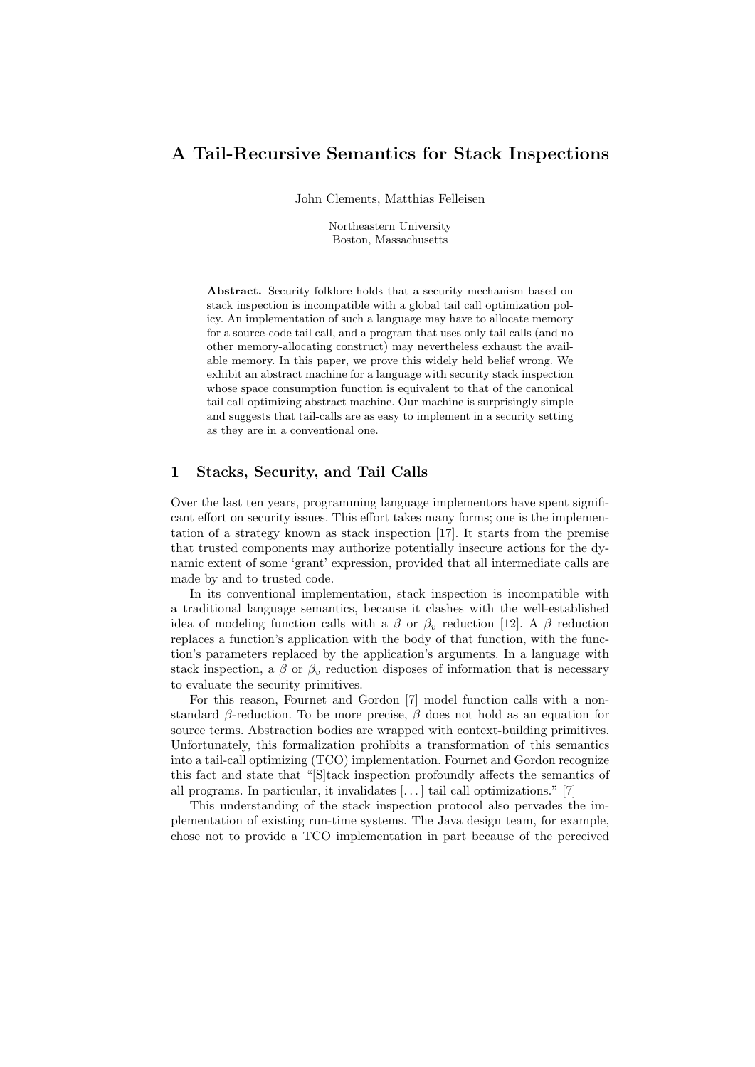# A Tail-Recursive Semantics for Stack Inspections

John Clements, Matthias Felleisen

Northeastern University Boston, Massachusetts

Abstract. Security folklore holds that a security mechanism based on stack inspection is incompatible with a global tail call optimization policy. An implementation of such a language may have to allocate memory for a source-code tail call, and a program that uses only tail calls (and no other memory-allocating construct) may nevertheless exhaust the available memory. In this paper, we prove this widely held belief wrong. We exhibit an abstract machine for a language with security stack inspection whose space consumption function is equivalent to that of the canonical tail call optimizing abstract machine. Our machine is surprisingly simple and suggests that tail-calls are as easy to implement in a security setting as they are in a conventional one.

# 1 Stacks, Security, and Tail Calls

Over the last ten years, programming language implementors have spent significant effort on security issues. This effort takes many forms; one is the implementation of a strategy known as stack inspection [17]. It starts from the premise that trusted components may authorize potentially insecure actions for the dynamic extent of some 'grant' expression, provided that all intermediate calls are made by and to trusted code.

In its conventional implementation, stack inspection is incompatible with a traditional language semantics, because it clashes with the well-established idea of modeling function calls with a  $\beta$  or  $\beta_v$  reduction [12]. A  $\beta$  reduction replaces a function's application with the body of that function, with the function's parameters replaced by the application's arguments. In a language with stack inspection, a  $\beta$  or  $\beta_v$  reduction disposes of information that is necessary to evaluate the security primitives.

For this reason, Fournet and Gordon [7] model function calls with a nonstandard  $\beta$ -reduction. To be more precise,  $\beta$  does not hold as an equation for source terms. Abstraction bodies are wrapped with context-building primitives. Unfortunately, this formalization prohibits a transformation of this semantics into a tail-call optimizing (TCO) implementation. Fournet and Gordon recognize this fact and state that "[S]tack inspection profoundly affects the semantics of all programs. In particular, it invalidates [. . . ] tail call optimizations." [7]

This understanding of the stack inspection protocol also pervades the implementation of existing run-time systems. The Java design team, for example, chose not to provide a TCO implementation in part because of the perceived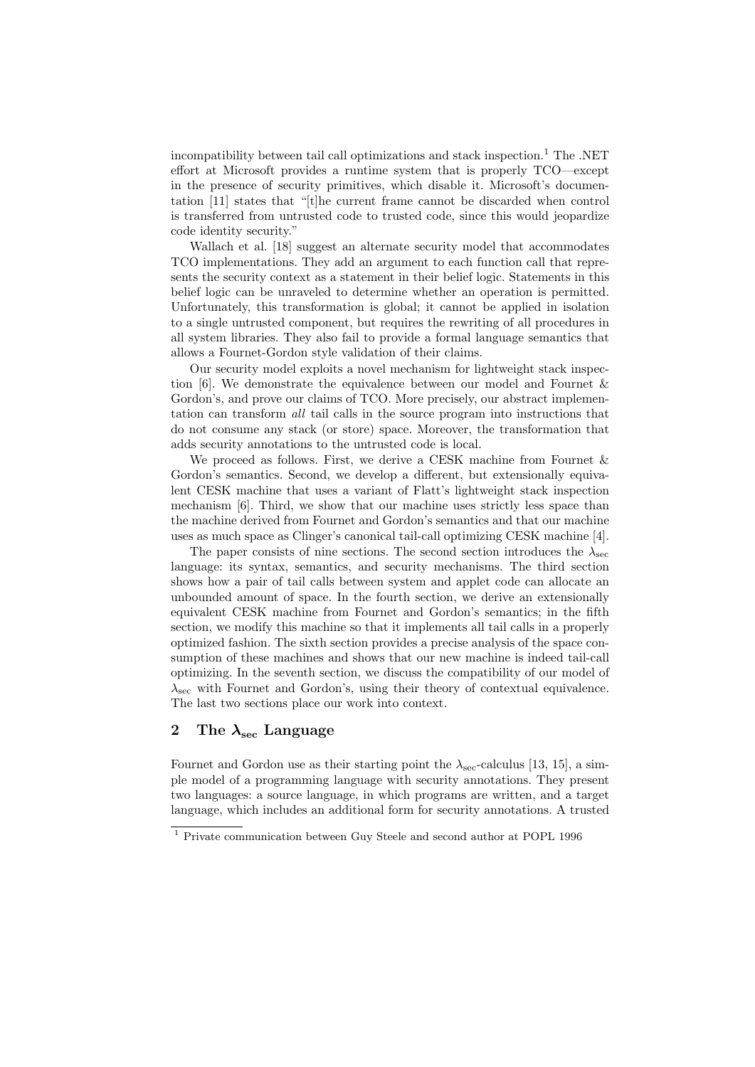incompatibility between tail call optimizations and stack inspection.<sup>1</sup> The .NET effort at Microsoft provides a runtime system that is properly TCO—except in the presence of security primitives, which disable it. Microsoft's documentation [11] states that "[t]he current frame cannot be discarded when control is transferred from untrusted code to trusted code, since this would jeopardize code identity security."

Wallach et al. [18] suggest an alternate security model that accommodates TCO implementations. They add an argument to each function call that represents the security context as a statement in their belief logic. Statements in this belief logic can be unraveled to determine whether an operation is permitted. Unfortunately, this transformation is global; it cannot be applied in isolation to a single untrusted component, but requires the rewriting of all procedures in all system libraries. They also fail to provide a formal language semantics that allows a Fournet-Gordon style validation of their claims.

Our security model exploits a novel mechanism for lightweight stack inspection [6]. We demonstrate the equivalence between our model and Fournet & Gordon's, and prove our claims of TCO. More precisely, our abstract implementation can transform all tail calls in the source program into instructions that do not consume any stack (or store) space. Moreover, the transformation that adds security annotations to the untrusted code is local.

We proceed as follows. First, we derive a CESK machine from Fournet & Gordon's semantics. Second, we develop a different, but extensionally equivalent CESK machine that uses a variant of Flatt's lightweight stack inspection mechanism [6]. Third, we show that our machine uses strictly less space than the machine derived from Fournet and Gordon's semantics and that our machine uses as much space as Clinger's canonical tail-call optimizing CESK machine [4].

The paper consists of nine sections. The second section introduces the  $\lambda_{\text{sec}}$ language: its syntax, semantics, and security mechanisms. The third section shows how a pair of tail calls between system and applet code can allocate an unbounded amount of space. In the fourth section, we derive an extensionally equivalent CESK machine from Fournet and Gordon's semantics; in the fifth section, we modify this machine so that it implements all tail calls in a properly optimized fashion. The sixth section provides a precise analysis of the space consumption of these machines and shows that our new machine is indeed tail-call optimizing. In the seventh section, we discuss the compatibility of our model of  $\lambda_{\text{sec}}$  with Fournet and Gordon's, using their theory of contextual equivalence. The last two sections place our work into context.

# 2 The  $\lambda_{\rm sec}$  Language

Fournet and Gordon use as their starting point the  $\lambda_{\rm sec}$ -calculus [13, 15], a simple model of a programming language with security annotations. They present two languages: a source language, in which programs are written, and a target language, which includes an additional form for security annotations. A trusted

 $^{\rm 1}$  Private communication between Guy Steele and second author at POPL 1996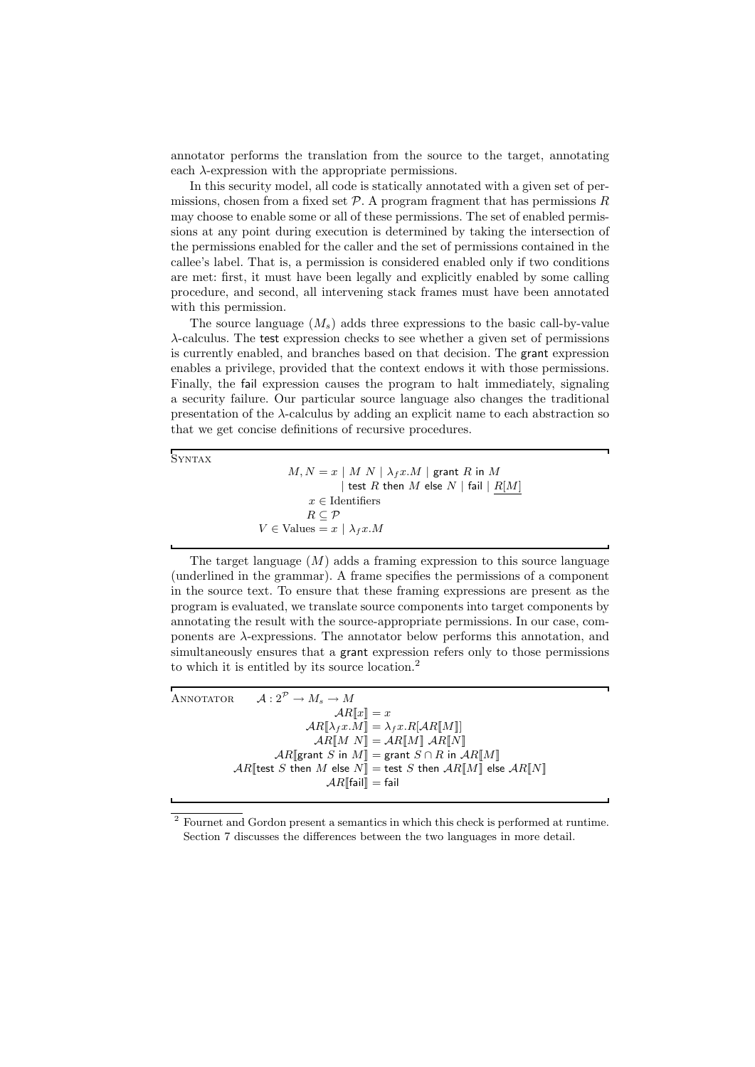annotator performs the translation from the source to the target, annotating each  $\lambda$ -expression with the appropriate permissions.

In this security model, all code is statically annotated with a given set of permissions, chosen from a fixed set  $P$ . A program fragment that has permissions R may choose to enable some or all of these permissions. The set of enabled permissions at any point during execution is determined by taking the intersection of the permissions enabled for the caller and the set of permissions contained in the callee's label. That is, a permission is considered enabled only if two conditions are met: first, it must have been legally and explicitly enabled by some calling procedure, and second, all intervening stack frames must have been annotated with this permission.

The source language  $(M<sub>s</sub>)$  adds three expressions to the basic call-by-value λ-calculus. The test expression checks to see whether a given set of permissions is currently enabled, and branches based on that decision. The grant expression enables a privilege, provided that the context endows it with those permissions. Finally, the fail expression causes the program to halt immediately, signaling a security failure. Our particular source language also changes the traditional presentation of the  $\lambda$ -calculus by adding an explicit name to each abstraction so that we get concise definitions of recursive procedures.

**SYNTAX** 

 $M, N = x \mid M \mid N \mid \lambda_f x.M \mid \text{grant } R \text{ in } M$ | test  $R$  then  $M$  else  $N$  | fail |  $R[M]$  $x \in$ Identifiers  $R \subseteq \mathcal{P}$  $V \in$  Values =  $x \mid \lambda_f x.M$ 

The target language  $(M)$  adds a framing expression to this source language (underlined in the grammar). A frame specifies the permissions of a component in the source text. To ensure that these framing expressions are present as the program is evaluated, we translate source components into target components by annotating the result with the source-appropriate permissions. In our case, components are  $\lambda$ -expressions. The annotator below performs this annotation, and simultaneously ensures that a grant expression refers only to those permissions to which it is entitled by its source location.<sup>2</sup>

ANNOTATOR  $\mathcal{A}: 2^{\mathcal{P}} \to M_s \to M$  $AR[x] = x$  $AR[\![\lambda_f x.M]\!] = \lambda_f x.R[\![AR[\![M]\!]]$  $AR[M N] = AR[M] AR[N]$  $AR$ [grant S in  $M$ ] = grant  $S \cap R$  in  $AR$ [ $M$ ]  $AR$ [test S then M else  $N$ ] = test S then  $AR$ [M]] else  $AR$ [N]]  $AR$ [fail] = fail

<sup>2</sup> Fournet and Gordon present a semantics in which this check is performed at runtime. Section 7 discusses the differences between the two languages in more detail.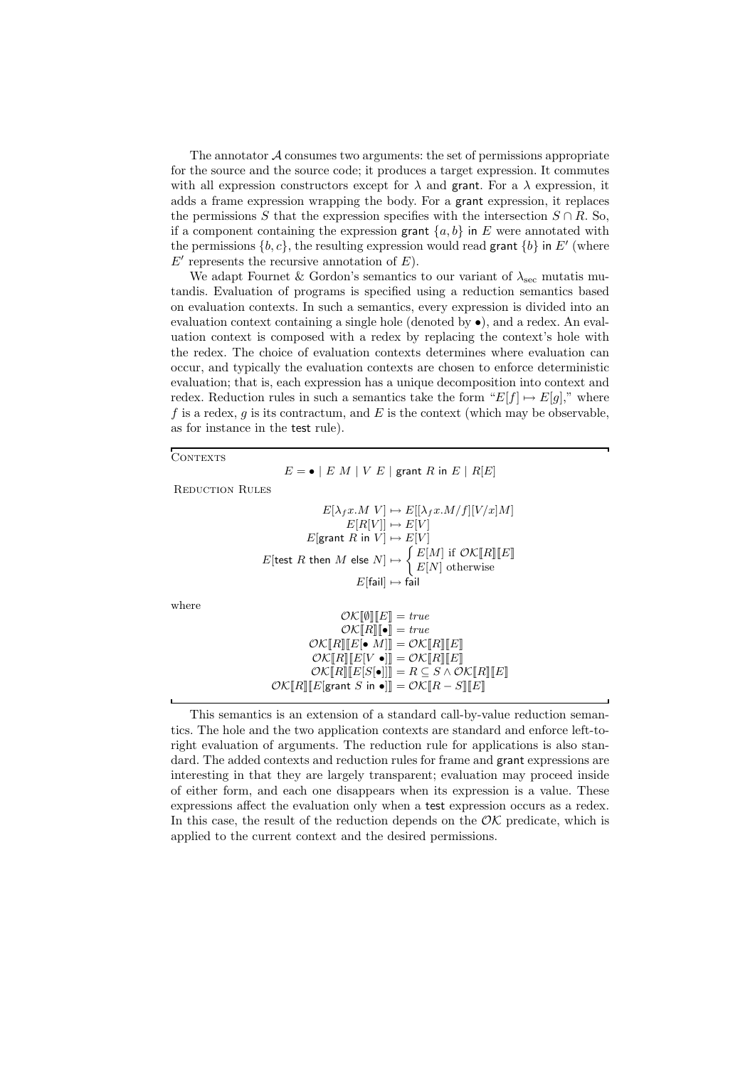The annotator  $\mathcal A$  consumes two arguments: the set of permissions appropriate for the source and the source code; it produces a target expression. It commutes with all expression constructors except for  $\lambda$  and grant. For a  $\lambda$  expression, it adds a frame expression wrapping the body. For a grant expression, it replaces the permissions S that the expression specifies with the intersection  $S \cap R$ . So, if a component containing the expression grant  $\{a, b\}$  in E were annotated with the permissions  $\{b, c\}$ , the resulting expression would read grant  $\{b\}$  in E' (where  $E'$  represents the recursive annotation of  $E$ ).

We adapt Fournet & Gordon's semantics to our variant of  $\lambda_{\rm sec}$  mutatis mutandis. Evaluation of programs is specified using a reduction semantics based on evaluation contexts. In such a semantics, every expression is divided into an evaluation context containing a single hole (denoted by •), and a redex. An evaluation context is composed with a redex by replacing the context's hole with the redex. The choice of evaluation contexts determines where evaluation can occur, and typically the evaluation contexts are chosen to enforce deterministic evaluation; that is, each expression has a unique decomposition into context and redex. Reduction rules in such a semantics take the form " $E[f] \mapsto E[q]$ ," where  $f$  is a redex,  $g$  is its contractum, and  $E$  is the context (which may be observable, as for instance in the test rule).

CONTEXTS

where

 $E = \bullet \mid E \ M \mid V \ E \mid \text{grant } R \text{ in } E \mid R[E]$ Reduction Rules  $E[\lambda_f x.M] \mapsto E[[\lambda_f x.M/f][V/x]M]$  $E[R[V]] \mapsto E[V]$  $E[\text{grant } R \text{ in } V] \mapsto E[V]$  $E[\text{test } R \text{ then } M \text{ else } N] \mapsto \begin{cases} E[M] & \text{if } \mathcal{O} \mathcal{K}[R] \llbracket E \rrbracket \end{cases}$  $E[N]$  otherwise  $E[\text{fail}] \mapsto \text{fail}$  $\mathcal{O}K[\![\emptyset]\!][E]\!]=\mathit{true}$  $\mathcal{O}K[\![R]\!][\![\bullet]\!]=\mathit{true}$ 

$$
\mathcal{O}K[\![R]\!][E[\bullet M]]] = \mathcal{O}K[\![R]\!][E]\n\qquad\n\mathcal{O}K[\![R]\!][E[V \bullet]]] = \mathcal{O}K[\![R]\!][E]\n\qquad\n\mathcal{O}K[\![R]\!][E[S[\bullet]]]] = R \subseteq S \land \mathcal{O}K[\![R]\!][E]\n\qquad\n\mathcal{O}K[\![R]\!][E[\mathsf{grant } S \mathsf{in} \bullet]] = \mathcal{O}K[\![R-S]\!][E]\n\qquad\n\mathcal{O}K[\![R]\!][E[\mathsf{grant } S \mathsf{in} \bullet]] = \mathcal{O}K[\![R-S]\!][E]\n\qquad\n\mathcal{O}K[\![R]\!][E[\mathsf{start} \mathsf{in} \bullet]] = \mathcal{O}K[\![R-S]\!][E]\n\qquad\n\mathcal{O}K[\![R]\!][E[\mathsf{start} \mathsf{in} \bullet]] = \mathcal{O}K[\![R-S]\!][E]\n\qquad\n\mathcal{O}K[\![R]\!][E[\mathsf{start} \mathsf{in} \bullet]] = \mathcal{O}K[\![R-S]\!][E]\n\qquad\n\mathcal{O}K[\![R]\!][E[\mathsf{start} \mathsf{in} \bullet]] = \mathcal{O}K[\![R-S]\!][E]\n\qquad\n\mathcal{O}K[\![R]\!][E[\mathsf{start} \mathsf{in} \bullet]] = \mathcal{O}K[\![R-S]\!][E[\mathsf{in} \bullet]] = \mathcal{O}K[\![R-S]\!][E[\mathsf{in} \bullet]] = \mathcal{O}K[\![R-S]\!][E[\mathsf{in} \bullet]] = \mathcal{O}K[\![R-S]\!][E[\mathsf{in} \bullet]] = \mathcal{O}K[\![R-S]\!][E[\mathsf{in} \bullet]] = \mathcal{O}K[\![R-S]\!][E[\mathsf{in} \bullet]] = \mathcal{O}K[\![R-S]\!][E[\mathsf{in} \bullet]] = \mathcal{O}K[\![R-S]\!][E[\mathsf{in} \bullet]] = \mathcal{O}K[\![R-S]\!][E[\mathsf{in} \bullet]] = \mathcal{O}K[\![R-S]\!][E[\mathsf{in} \bullet]] = \mathcal{O}K[\![R-S]\!][E[\mathsf{in} \bullet]] = \mathcal{O}K[\![R-S]\!][E[\mathsf{in}
$$

This semantics is an extension of a standard call-by-value reduction semantics. The hole and the two application contexts are standard and enforce left-toright evaluation of arguments. The reduction rule for applications is also standard. The added contexts and reduction rules for frame and grant expressions are interesting in that they are largely transparent; evaluation may proceed inside of either form, and each one disappears when its expression is a value. These expressions affect the evaluation only when a test expression occurs as a redex. In this case, the result of the reduction depends on the  $\mathcal{O}\mathcal{K}$  predicate, which is applied to the current context and the desired permissions.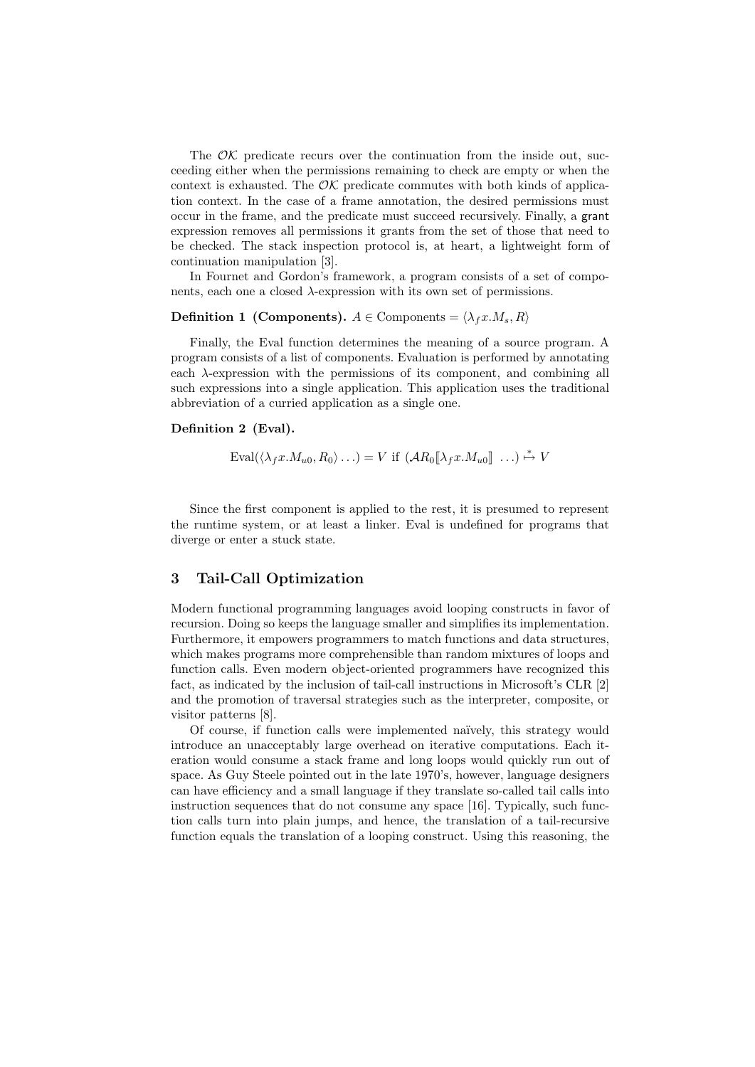The  $\mathcal{O}\mathcal{K}$  predicate recurs over the continuation from the inside out, succeeding either when the permissions remaining to check are empty or when the context is exhausted. The  $\mathcal{O}\mathcal{K}$  predicate commutes with both kinds of application context. In the case of a frame annotation, the desired permissions must occur in the frame, and the predicate must succeed recursively. Finally, a grant expression removes all permissions it grants from the set of those that need to be checked. The stack inspection protocol is, at heart, a lightweight form of continuation manipulation [3].

In Fournet and Gordon's framework, a program consists of a set of components, each one a closed  $\lambda$ -expression with its own set of permissions.

#### **Definition 1 (Components).**  $A \in \text{Components} = \langle \lambda_f x. M_s, R \rangle$

Finally, the Eval function determines the meaning of a source program. A program consists of a list of components. Evaluation is performed by annotating each  $\lambda$ -expression with the permissions of its component, and combining all such expressions into a single application. This application uses the traditional abbreviation of a curried application as a single one.

#### Definition 2 (Eval).

$$
\text{Eval}(\langle \lambda_f x. M_{u0}, R_0 \rangle \ldots) = V \text{ if } (\mathcal{A}R_0[\![\lambda_f x. M_{u0}]\!]\!]\ldots) \stackrel{*}{\mapsto} V
$$

Since the first component is applied to the rest, it is presumed to represent the runtime system, or at least a linker. Eval is undefined for programs that diverge or enter a stuck state.

# 3 Tail-Call Optimization

Modern functional programming languages avoid looping constructs in favor of recursion. Doing so keeps the language smaller and simplifies its implementation. Furthermore, it empowers programmers to match functions and data structures, which makes programs more comprehensible than random mixtures of loops and function calls. Even modern object-oriented programmers have recognized this fact, as indicated by the inclusion of tail-call instructions in Microsoft's CLR [2] and the promotion of traversal strategies such as the interpreter, composite, or visitor patterns [8].

Of course, if function calls were implemented na¨ıvely, this strategy would introduce an unacceptably large overhead on iterative computations. Each iteration would consume a stack frame and long loops would quickly run out of space. As Guy Steele pointed out in the late 1970's, however, language designers can have efficiency and a small language if they translate so-called tail calls into instruction sequences that do not consume any space [16]. Typically, such function calls turn into plain jumps, and hence, the translation of a tail-recursive function equals the translation of a looping construct. Using this reasoning, the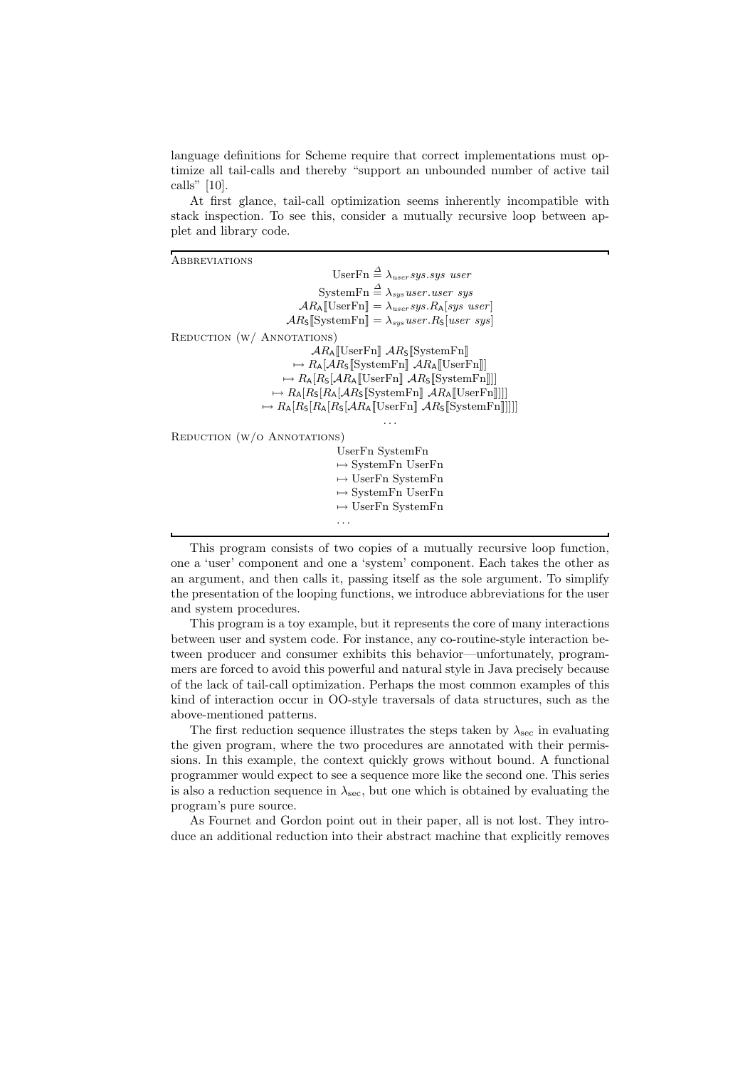language definitions for Scheme require that correct implementations must optimize all tail-calls and thereby "support an unbounded number of active tail calls" [10].

At first glance, tail-call optimization seems inherently incompatible with stack inspection. To see this, consider a mutually recursive loop between applet and library code.

**ABBREVIATIONS** UserFn  $\stackrel{\Delta}{=} \lambda_{user}$ sus.sus user SystemFn  $\stackrel{\Delta}{=} \lambda_{sys}$ user.user sys  $AR_A$ [UserFn] =  $\lambda_{user}sys.R_A[sys\ user]$  $ARs$ [SystemFn] =  $\lambda_{sys}$ user.Rs[user sys] REDUCTION (W/ ANNOTATIONS)  $AR_A$ [UserFn]  $AR_S$ [SystemFn]  $\rightarrow R_{\mathsf{A}}[\mathcal{A}R_{\mathsf{S}}[\text{SystemFn}]\ \mathcal{A}R_{\mathsf{A}}[\text{UserFn}]]$  $\rightarrow R_{\mathsf{A}}[R_{\mathsf{S}}[\mathcal{A}R_{\mathsf{A}}[\![\mathrm{UserFn}]\!]\mathcal{A}R_{\mathsf{S}}[\![\mathrm{SystemFn}]\!]]]$  $\rightarrow R_{\mathsf{A}}[R_{\mathsf{S}}[R_{\mathsf{A}}|\mathcal{A}R_{\mathsf{S}}[\text{SystemFn}]\mathcal{A}R_{\mathsf{A}}[\text{UserFn}]]]]$  $\rightarrow R_{\mathsf{A}}[R_{\mathsf{S}}[R_{\mathsf{A}}[R_{\mathsf{S}}[\mathcal{A}R_{\mathsf{A}}[\text{UserFn}]\mathcal{A}R_{\mathsf{S}}[\text{SystemFn}]]]]]$ . . . REDUCTION (W/O ANNOTATIONS) UserFn SystemFn

 $\mapsto$  SystemFn UserFn  $\mapsto$  UserFn SystemFn  $\mapsto$  SystemFn UserFn  $\mapsto$  UserFn SystemFn . . .

This program consists of two copies of a mutually recursive loop function, one a 'user' component and one a 'system' component. Each takes the other as an argument, and then calls it, passing itself as the sole argument. To simplify the presentation of the looping functions, we introduce abbreviations for the user and system procedures.

This program is a toy example, but it represents the core of many interactions between user and system code. For instance, any co-routine-style interaction between producer and consumer exhibits this behavior—unfortunately, programmers are forced to avoid this powerful and natural style in Java precisely because of the lack of tail-call optimization. Perhaps the most common examples of this kind of interaction occur in OO-style traversals of data structures, such as the above-mentioned patterns.

The first reduction sequence illustrates the steps taken by  $\lambda_{\text{sec}}$  in evaluating the given program, where the two procedures are annotated with their permissions. In this example, the context quickly grows without bound. A functional programmer would expect to see a sequence more like the second one. This series is also a reduction sequence in  $\lambda_{\text{sec}}$ , but one which is obtained by evaluating the program's pure source.

As Fournet and Gordon point out in their paper, all is not lost. They introduce an additional reduction into their abstract machine that explicitly removes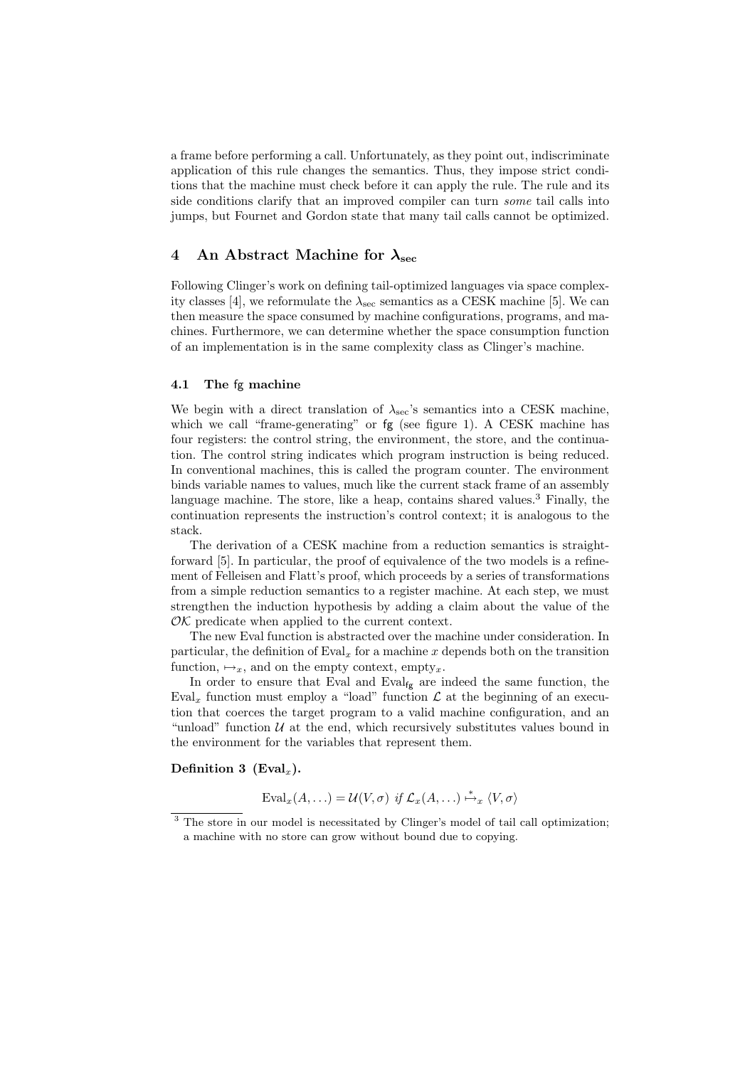a frame before performing a call. Unfortunately, as they point out, indiscriminate application of this rule changes the semantics. Thus, they impose strict conditions that the machine must check before it can apply the rule. The rule and its side conditions clarify that an improved compiler can turn some tail calls into jumps, but Fournet and Gordon state that many tail calls cannot be optimized.

# 4 An Abstract Machine for  $\lambda_{\rm sec}$

Following Clinger's work on defining tail-optimized languages via space complexity classes [4], we reformulate the  $\lambda_{\rm sec}$  semantics as a CESK machine [5]. We can then measure the space consumed by machine configurations, programs, and machines. Furthermore, we can determine whether the space consumption function of an implementation is in the same complexity class as Clinger's machine.

### 4.1 The fg machine

We begin with a direct translation of  $\lambda_{\rm sec}$ 's semantics into a CESK machine, which we call "frame-generating" or  $fg$  (see figure 1). A CESK machine has four registers: the control string, the environment, the store, and the continuation. The control string indicates which program instruction is being reduced. In conventional machines, this is called the program counter. The environment binds variable names to values, much like the current stack frame of an assembly language machine. The store, like a heap, contains shared values.<sup>3</sup> Finally, the continuation represents the instruction's control context; it is analogous to the stack.

The derivation of a CESK machine from a reduction semantics is straightforward [5]. In particular, the proof of equivalence of the two models is a refinement of Felleisen and Flatt's proof, which proceeds by a series of transformations from a simple reduction semantics to a register machine. At each step, we must strengthen the induction hypothesis by adding a claim about the value of the  $\mathcal{O}\mathcal{K}$  predicate when applied to the current context.

The new Eval function is abstracted over the machine under consideration. In particular, the definition of  $Eval<sub>x</sub>$  for a machine x depends both on the transition function,  $\mapsto_x$ , and on the empty context, empty<sub>x</sub>.

In order to ensure that Eval and  $Eval<sub>fg</sub>$  are indeed the same function, the Eval<sub>x</sub> function must employ a "load" function  $\mathcal L$  at the beginning of an execution that coerces the target program to a valid machine configuration, and an "unload" function  $U$  at the end, which recursively substitutes values bound in the environment for the variables that represent them.

## Definition 3 (Eval<sub>x</sub>).

 $\text{Eval}_x(A, \ldots) = \mathcal{U}(V, \sigma) \text{ if } \mathcal{L}_x(A, \ldots) \stackrel{*}{\mapsto}_x \langle V, \sigma \rangle$ 

<sup>&</sup>lt;sup>3</sup> The store in our model is necessitated by Clinger's model of tail call optimization; a machine with no store can grow without bound due to copying.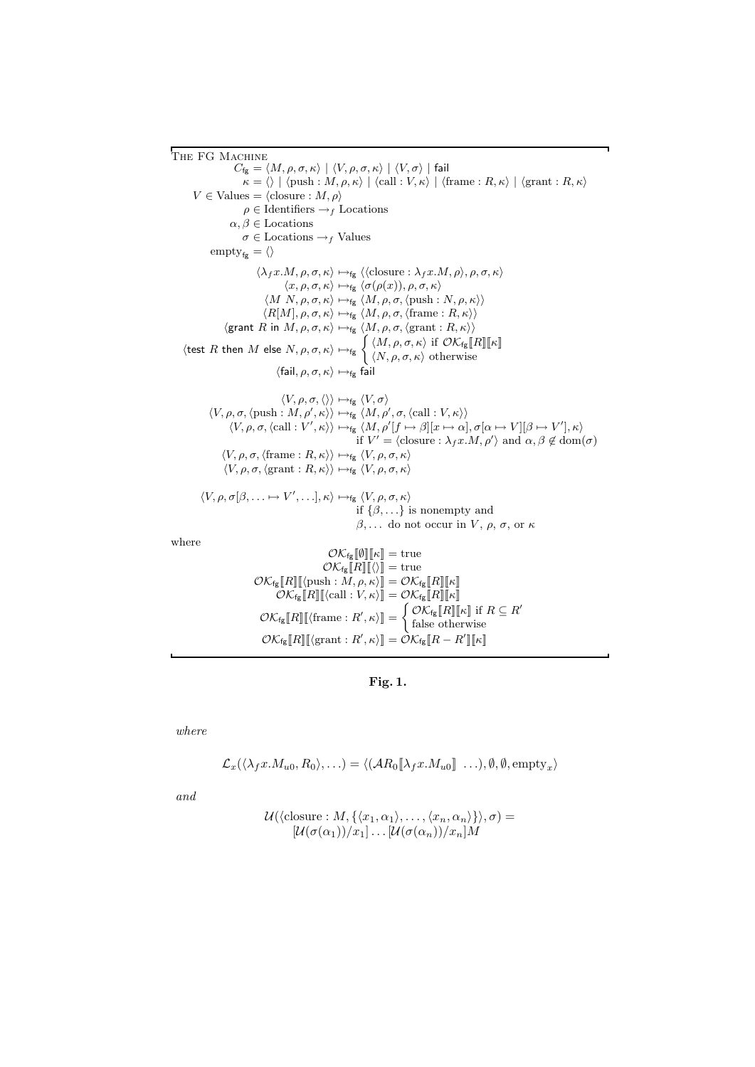THE FG MACHINE  $C_{\text{fg}} = \langle M, \rho, \sigma, \kappa \rangle \mid \langle V, \rho, \sigma, \kappa \rangle \mid \langle V, \sigma \rangle$ | fail  $\kappa = \langle \rangle | \langle \text{push} : M, \rho, \kappa \rangle | \langle \text{call} : V, \kappa \rangle | \langle \text{frame} : R, \kappa \rangle | \langle \text{grant} : R, \kappa \rangle$  $V \in$  Values =  $\langle$ closure :  $M, \rho \rangle$  $\rho \in$ Identifiers  $\rightarrow$ <sub>f</sub> Locations  $\alpha, \beta \in$  Locations  $\sigma \in$  Locations  $\rightarrow$  *f* Values  $\text{empty}_{f_{g}} = \langle \rangle$  $\langle \lambda_f x.M, \rho, \sigma, \kappa \rangle \mapsto_{\text{fg}} \langle \langle \text{closure} : \lambda_f x.M, \rho \rangle, \rho, \sigma, \kappa \rangle$  $\langle x, \rho, \sigma, \kappa \rangle \mapsto_{\text{fg}} \langle \sigma(\rho(x)), \rho, \sigma, \kappa \rangle$  $\langle M \mid N, \rho, \sigma, \kappa \rangle \mapsto_{\text{fg}} \langle M, \rho, \sigma, \langle \text{push} : N, \rho, \kappa \rangle \rangle$  $\langle R[M], \rho, \sigma, \kappa \rangle \mapsto_{\text{fg}} \langle M, \rho, \sigma, \langle \text{frame} : R, \kappa \rangle \rangle$  $\langle \textnormal{\textsf{grant}}\ \textit{\textbf{R}}\ \textnormal{\textsf{in}}\ \textit{\textbf{M}}, \rho, \sigma, \kappa\rangle \mapsto_{\textnormal{\textsf{fg}}} \langle \textit{\textbf{M}}, \rho, \sigma, \langle \textnormal{\textsf{grant}} : \textit{\textbf{R}}, \kappa\rangle\rangle$  $\langle \text{test } R \text{ then } M \text{ else } N, \rho, \sigma, \kappa \rangle \mapsto_{\text{fg}} \left\{ \begin{array}{l} \langle M, \rho, \sigma, \kappa \rangle \text{ if } \mathcal{O} \mathcal{K}_{\text{fg}}[R] \llbracket \kappa \rrbracket \end{array} \right\}$  $\langle N, \rho, \sigma, \kappa \rangle$  otherwise  $\langle \text{fail}, \rho, \sigma, \kappa \rangle \mapsto_{\text{fg}} \hat{\text{fail}}$  $\langle V, \rho, \sigma, \langle \rangle \rangle \mapsto_{\mathsf{fg}} \langle V, \sigma \rangle$  $\langle V, \rho, \sigma, \langle \text{push} : M, \rho', \kappa \rangle \rangle \mapsto_{\text{fg}} \langle M, \rho', \sigma, \langle \text{call} : V, \kappa \rangle \rangle$  $\langle V, \rho, \sigma, \langle \text{call} : V', \kappa \rangle \rangle \mapsto_{\text{fg}} \langle M, \rho'[f \mapsto \beta][x \mapsto \alpha], \sigma[\alpha \mapsto V][\beta \mapsto V'], \kappa \rangle$ if  $V' = \langle \text{closure} : \lambda_f x.M, \rho' \rangle$  and  $\alpha, \beta \notin \text{dom}(\sigma)$  $\langle V, \rho, \sigma, \langle \text{frame} : R, \kappa \rangle \rangle \mapsto_{\text{fg}} \langle V, \rho, \sigma, \kappa \rangle$  $\langle V, \rho, \sigma, \langle \text{grant} : R, \kappa \rangle \rangle \mapsto_{\text{fg}} \langle V, \rho, \sigma, \kappa \rangle$  $\langle V, \rho, \sigma[\beta, \ldots \mapsto V', \ldots], \kappa \rangle \mapsto_{fg} \langle V, \rho, \sigma, \kappa \rangle$ if  $\{\beta, \ldots\}$  is nonempty and  $β, \ldots$  do not occur in  $V, ρ, σ,$  or  $κ$ where  $\mathcal{O}K_{fg}[\![\emptyset]\!][\![\kappa]\!] = \text{true}$  $\mathcal{O}K_{\text{fg}}[[R]][\langle\rangle]] = \text{true}$  $\mathcal{O}K_{\text{fg}}[\![R]\!][\![\langle \text{push}: \check{M}, \rho, \kappa \rangle] = \mathcal{O}K_{\text{fg}}[\![R]\!][\![\kappa]\!]$  $\mathcal{O}K_{\text{fg}}[[R]]\sim[\text{call} : V, \kappa\rangle]] = \mathcal{O}K_{\text{fg}}[[R]]\sim[\kappa]]$  $\mathcal{O}K_{\text{fg}}[\![R]\!][\![\langle \text{frame} : R', \kappa \rangle]\!] = \begin{cases} \mathcal{O}K_{\text{fg}}[\![R]\!][\![\kappa]\!] \text{ if } R \subseteq R' \end{cases}$ 

## Fig. 1.

 $\mathcal{O} \mathcal{K}_{\mathsf{fg}}\llbracket R \rrbracket [\bra{\text{grant}}:R',\kappa\rangle ] = \mathcal{\hat{O}} \mathcal{K}_{\mathsf{fg}}\llbracket R - R' \rrbracket \llbracket \kappa \rrbracket$ 

false otherwise

where

$$
\mathcal{L}_x(\langle \lambda_f x.M_{u0}, R_0 \rangle, \ldots) = \langle (AR_0[\![\lambda_f x.M_{u0}]\!]\!]\ldots), \emptyset, \emptyset, \text{empty}_x \rangle
$$

and

$$
\mathcal{U}(\langle \text{closure}: M, \{\langle x_1, \alpha_1 \rangle, \ldots, \langle x_n, \alpha_n \rangle\} \rangle, \sigma) = \\ [\mathcal{U}(\sigma(\alpha_1))/x_1] \ldots [\mathcal{U}(\sigma(\alpha_n))/x_n]M
$$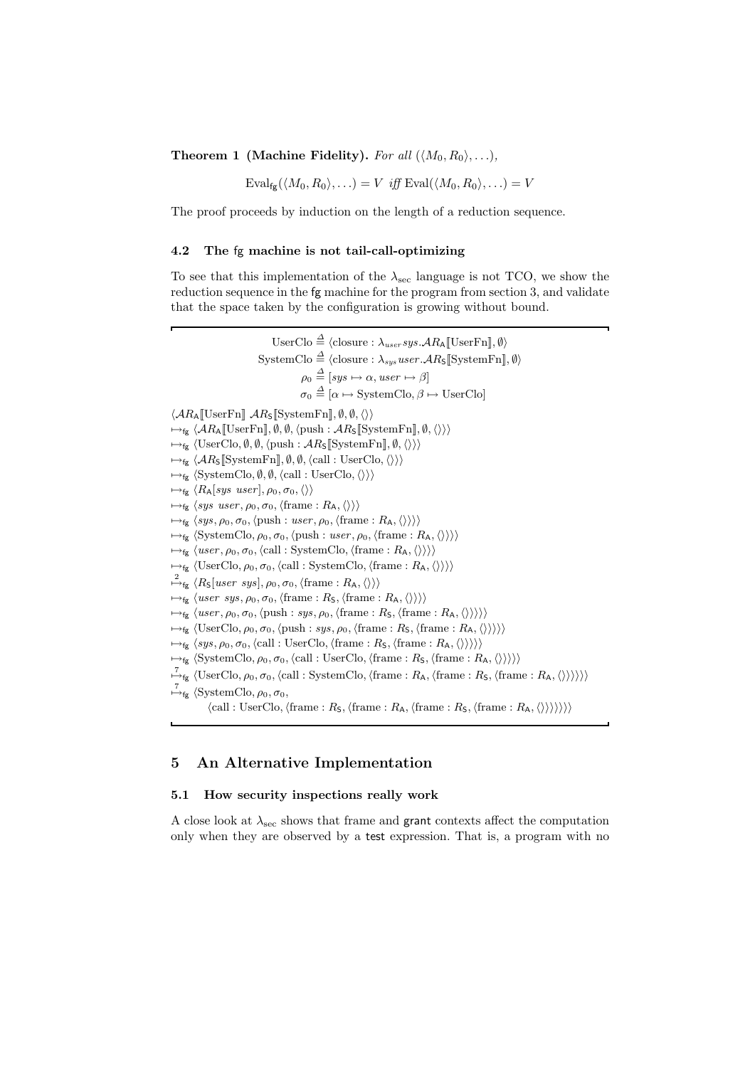**Theorem 1 (Machine Fidelity).** For all  $(\langle M_0, R_0 \rangle, \ldots)$ ,

 $\text{Eval}_{\text{fc}}(\langle M_0, R_0 \rangle, \ldots) = V$  iff  $\text{Eval}(\langle M_0, R_0 \rangle, \ldots) = V$ 

The proof proceeds by induction on the length of a reduction sequence.

#### 4.2 The fg machine is not tail-call-optimizing

To see that this implementation of the  $\lambda_{\rm sec}$  language is not TCO, we show the reduction sequence in the fg machine for the program from section 3, and validate that the space taken by the configuration is growing without bound.

UserClo  $\stackrel{\Delta}{=} \langle \text{closure}: \lambda_{user} sys. \mathcal{A} R_{\mathsf{A}}[[\text{UserFn}], \emptyset \rangle$  $\text{SystemClo} \stackrel{\Delta}{=} \langle \text{closure} : \lambda_{\text{sus}} \text{user}.\mathcal{A}R_{\text{S}}[\text{SystemFn}], \emptyset \rangle$  $\rho_0 \stackrel{\Delta}{=} [sys \mapsto \alpha, user \mapsto \beta]$  $\sigma_0 \stackrel{\Delta}{=} [\alpha \mapsto \text{SystemClo}, \beta \mapsto \text{UserClo}]$  $\langle AR_A \llbracket \text{UserFn} \rrbracket$   $AR_S \llbracket \text{SystemFn} \rrbracket$ ,  $\emptyset$ ,  $\emptyset$ ,  $\langle \rangle$  $\mapsto_{\text{fg}} \langle AR_A[[\text{UserFn}], \emptyset, \emptyset, \langle \text{push} : AR_S[[\text{SystemFn}], \emptyset, \langle \rangle \rangle \rangle$  $\mapsto_{\text{fg}} \langle \text{UserClo}, \emptyset, \emptyset, \langle \text{push} : \mathcal{A}R_{\mathsf{S}}[\text{SystemFn}], \emptyset, \langle \rangle \rangle$  $\mapsto_{fg} \langle AR_{\mathsf{S}}[\text{SystemFn}], \emptyset, \emptyset, \langle \text{call} : \text{UserClo}, \langle \rangle \rangle \rangle$  $\mapsto_{fg} \langle System Clo, \emptyset, \emptyset, \langle call : User Clo, \langle \rangle \rangle \rangle$  $\mapsto_{\text{fg}} \langle R_{\mathsf{A}}[sys \text{ user}], \rho_0, \sigma_0, \langle \rangle \rangle$  $\mapsto_{fg} \langle sys \text{ user}, \rho_0, \sigma_0, \langle \text{frame} : R_A, \langle \rangle \rangle \rangle$  $\mapsto_{fg} \langle sys, \rho_0, \sigma_0, \langle push : user, \rho_0, \langle frame : R_A, \langle \rangle \rangle \rangle$  $\mapsto_{fg} \langle \text{SystemClo}, \rho_0, \sigma_0, \langle \text{push}: user, \rho_0, \langle \text{frame} : R_A, \langle \rangle \rangle \rangle$  $\mapsto_{\text{fg}} \langle user, \rho_0, \sigma_0, \langle \text{call} : \text{SystemClo}, \langle \text{frame} : R_A, \langle \rangle \rangle \rangle$  $\mapsto_{fg} \langle \text{UserClo}, \rho_0, \sigma_0, \langle \text{call} : \text{SystemClo}, \langle \text{frame} : R_A, \langle \rangle \rangle \rangle$  $\stackrel{2}{\mapsto}_{\mathsf{fg}} \langle R_{\mathsf{S}}[user\;sys], \rho_0, \sigma_0, \langle \text{frame} : R_{\mathsf{A}}, \langle \rangle \rangle \rangle$  $\mapsto_{\text{fg}} \langle user \; sys, \rho_0, \sigma_0, \langle \text{frame} : R_{\mathsf{S}}, \langle \text{frame} : R_{\mathsf{A}}, \langle \rangle \rangle \rangle$  $\mapsto_{fg} \langle user, \rho_0, \sigma_0, \langle push : sys, \rho_0, \langle frame : R_{\mathsf{S}}, \langle frame : R_{\mathsf{A}}, \langle \rangle \rangle \rangle \rangle$  $\rightarrow$ <sub>fg</sub>  $\langle$ UserClo,  $\rho_0$ ,  $\sigma_0$ ,  $\langle$ push : sys,  $\rho_0$ ,  $\langle$ frame :  $R_S$ ,  $\langle$ frame :  $R_A$ ,  $\langle\rangle\rangle\rangle$  $\mapsto_{\text{fg}} \langle sys, \rho_0, \sigma_0, \langle \text{call} : \text{UserClo}, \langle \text{frame} : R_{\mathsf{S}}, \langle \text{frame} : R_{\mathsf{A}}, \langle \rangle \rangle \rangle \rangle$  $\mapsto_{fg} \langle \text{SystemClo}, \rho_0, \sigma_0, \langle \text{call} : \text{UserClo}, \langle \text{frame} : R_{\mathsf{S}}, \langle \text{frame} : R_{\mathsf{A}}, \langle \rangle \rangle \rangle \rangle \rangle$  $\overline{\mathcal{F}}_{\text{fg}}$  (UserClo,  $\rho_0$ ,  $\sigma_0$ , (call : SystemClo, (frame :  $R_A$ , (frame :  $R_S$ , (frame :  $R_A$ ,  $\langle\rangle\rangle\rangle\rangle\rangle$ )  $\stackrel{7}{\mapsto}_{fg}$  (SystemClo,  $\rho_0$ ,  $\sigma_0$ ,  $\langle \text{call} : \text{UserClo}, \langle \text{frame} : R_{\text{S}}, \langle \text{frame} : R_{\text{A}}, \langle \text{frame} : R_{\text{S}}, \langle \text{frame} : R_{\text{A}}, \langle \rangle \rangle \rangle \rangle \rangle \rangle$ 

# 5 An Alternative Implementation

### 5.1 How security inspections really work

A close look at  $\lambda_{\text{sec}}$  shows that frame and grant contexts affect the computation only when they are observed by a test expression. That is, a program with no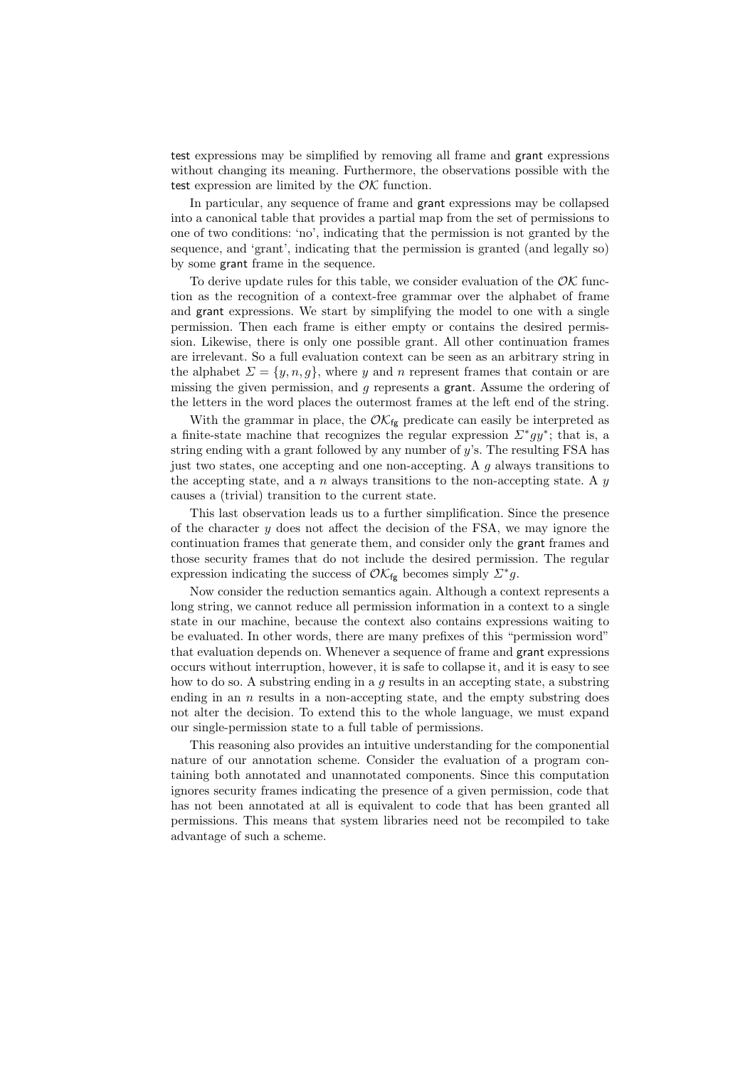test expressions may be simplified by removing all frame and grant expressions without changing its meaning. Furthermore, the observations possible with the test expression are limited by the  $\mathcal{O}\mathcal{K}$  function.

In particular, any sequence of frame and grant expressions may be collapsed into a canonical table that provides a partial map from the set of permissions to one of two conditions: 'no', indicating that the permission is not granted by the sequence, and 'grant', indicating that the permission is granted (and legally so) by some grant frame in the sequence.

To derive update rules for this table, we consider evaluation of the  $\mathcal{O}\mathcal{K}$  function as the recognition of a context-free grammar over the alphabet of frame and grant expressions. We start by simplifying the model to one with a single permission. Then each frame is either empty or contains the desired permission. Likewise, there is only one possible grant. All other continuation frames are irrelevant. So a full evaluation context can be seen as an arbitrary string in the alphabet  $\Sigma = \{y, n, g\}$ , where y and n represent frames that contain or are missing the given permission, and g represents a grant. Assume the ordering of the letters in the word places the outermost frames at the left end of the string.

With the grammar in place, the  $\mathcal{O}K_{fg}$  predicate can easily be interpreted as a finite-state machine that recognizes the regular expression  $\Sigma^* gy^*$ ; that is, a string ending with a grant followed by any number of  $y$ 's. The resulting FSA has just two states, one accepting and one non-accepting. A  $q$  always transitions to the accepting state, and a n always transitions to the non-accepting state. A  $y$ causes a (trivial) transition to the current state.

This last observation leads us to a further simplification. Since the presence of the character  $y$  does not affect the decision of the FSA, we may ignore the continuation frames that generate them, and consider only the grant frames and those security frames that do not include the desired permission. The regular expression indicating the success of  $\mathcal{O} \mathcal{K}_{fg}$  becomes simply  $\mathcal{L}^* g$ .

Now consider the reduction semantics again. Although a context represents a long string, we cannot reduce all permission information in a context to a single state in our machine, because the context also contains expressions waiting to be evaluated. In other words, there are many prefixes of this "permission word" that evaluation depends on. Whenever a sequence of frame and grant expressions occurs without interruption, however, it is safe to collapse it, and it is easy to see how to do so. A substring ending in a  $q$  results in an accepting state, a substring ending in an  $n$  results in a non-accepting state, and the empty substring does not alter the decision. To extend this to the whole language, we must expand our single-permission state to a full table of permissions.

This reasoning also provides an intuitive understanding for the componential nature of our annotation scheme. Consider the evaluation of a program containing both annotated and unannotated components. Since this computation ignores security frames indicating the presence of a given permission, code that has not been annotated at all is equivalent to code that has been granted all permissions. This means that system libraries need not be recompiled to take advantage of such a scheme.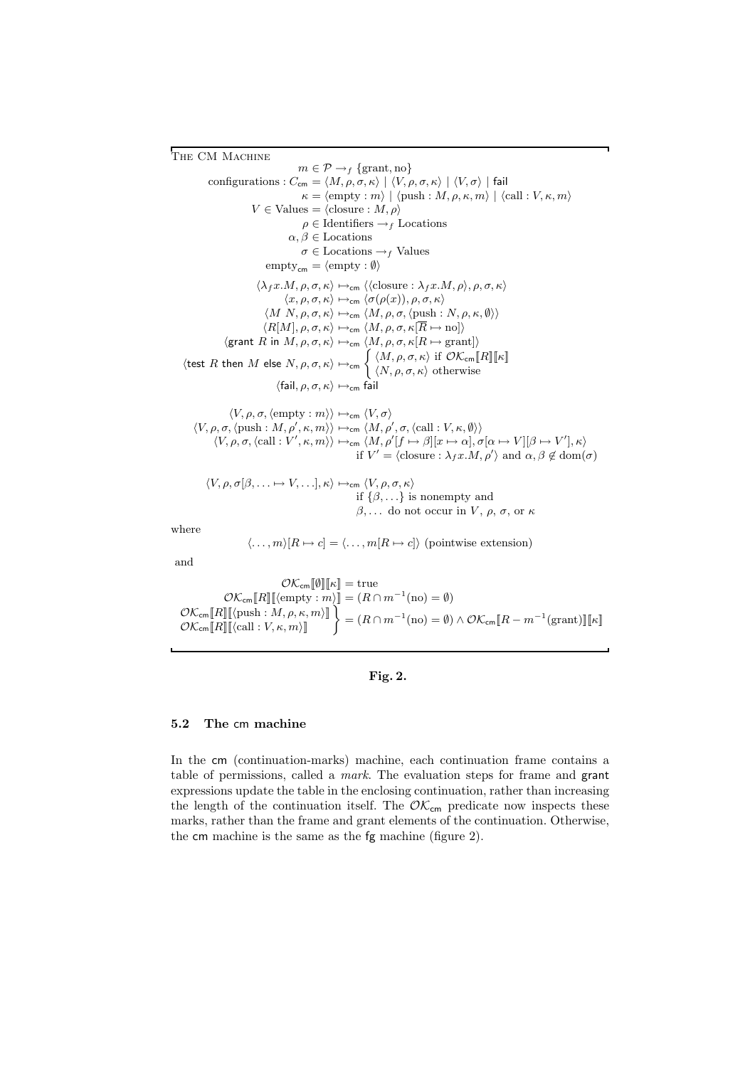THE CM MACHINE  $m \in \mathcal{P} \rightarrow_f \{\text{grant}, \text{no}\}$ configurations :  $C_{\text{cm}} = \langle M, \rho, \sigma, \kappa \rangle \mid \langle V, \rho, \sigma, \kappa \rangle \mid \langle V, \sigma \rangle$  | fail  $\kappa = \langle \text{empty} : m \rangle \mid \langle \text{push} : M, \rho, \kappa, m \rangle \mid \langle \text{call} : V, \kappa, m \rangle$  $V \in$  Values =  $\langle$ closure :  $M, \rho \rangle$  $\rho \in$ Identifiers  $\mathord{\rightarrow}_f$  Locations  $\alpha, \beta \in$  Locations  $\sigma \in$  Locations  $\rightarrow$  *f* Values  $\text{empty}_{\text{cm}} = \langle \text{empty} : \emptyset \rangle$  $\langle \lambda_f x.M, \rho, \sigma, \kappa \rangle \mapsto_{\mathsf{cm}} \langle \langle \text{closure}: \lambda_f x.M, \rho \rangle, \rho, \sigma, \kappa \rangle$  $\langle x, \rho, \sigma, \kappa \rangle \mapsto_{\sf cm} \langle \sigma(\rho(x)), \rho, \sigma, \kappa \rangle$  $\langle M\ N, \rho, \sigma, \kappa \rangle \mapsto_{\sf cm} \langle M, \rho, \sigma, \langle \text{push} : N, \rho, \kappa, \emptyset \rangle \rangle$  $\langle R[M], \rho, \sigma, \kappa \rangle \mapsto_{\sf cm} \langle M, \rho, \sigma, \kappa[\overline{R} \mapsto {\rm no}]\rangle$  $\langle \text{grant } R \text{ in } M, \rho, \sigma, \kappa \rangle \mapsto_{\text{cm}} \langle M, \rho, \sigma, \kappa[R \mapsto \text{grant}] \rangle$ (test R then M else  $N, \rho, \sigma, \kappa$ )  $\mapsto$ cm  $\left\{ \begin{array}{l} \langle M, \rho, \sigma, \kappa \rangle \text{ if } O\mathcal{K}_{\text{cm}}[\![R]\!]$ [ $\kappa$ ]  $\langle N, \rho, \sigma, \kappa \rangle$  otherwise  $\langle \mathsf{fail}, \rho, \sigma, \kappa \rangle \mapsto_{\mathsf{cm}} \hat{\mathsf{fail}}$ 

$$
\langle V, \rho, \sigma, \langle \text{empty} : m \rangle \rangle \mapsto_{\text{cm}} \langle V, \sigma \rangle
$$
  

$$
\langle V, \rho, \sigma, \langle \text{push} : M, \rho', \kappa, m \rangle \rangle \mapsto_{\text{cm}} \langle M, \rho', \sigma, \langle \text{call} : V, \kappa, \emptyset \rangle \rangle
$$
  

$$
\langle V, \rho, \sigma, \langle \text{call} : V', \kappa, m \rangle \rangle \mapsto_{\text{cm}} \langle M, \rho' [f \mapsto \beta] [x \mapsto \alpha], \sigma[\alpha \mapsto V][\beta \mapsto V'], \kappa \rangle
$$
  
if  $V' = \langle \text{closure} : \lambda_f x. M, \rho' \rangle$  and  $\alpha, \beta \notin \text{dom}(\sigma)$ 

$$
\langle V, \rho, \sigma[\beta, \ldots \mapsto V, \ldots], \kappa \rangle \mapsto_{\mathsf{cm}} \langle V, \rho, \sigma, \kappa \rangle
$$
  
if  $\{\beta, \ldots\}$  is nonempty and  
 $\beta, \ldots$  do not occur in  $V, \rho, \sigma, \text{or } \kappa$ 

where

$$
\langle \ldots, m \rangle [R \mapsto c] = \langle \ldots, m[R \mapsto c] \rangle \text{ (pointwise extension)}
$$

and

$$
\mathcal{O}\mathcal{K}_{\text{cm}}[\![R]\!][\![\kappa]\!]=\text{true}
$$

$$
\mathcal{O}\mathcal{K}_{\text{cm}}[\![R]\!][\![\kappa]\!](\text{empty}:m)\!]=\big(R\cap m^{-1}(\text{no})=\emptyset\big)
$$

$$
\mathcal{O}\mathcal{K}_{\text{cm}}[\![R]\!][\![\langle \text{push}:M,\rho,\kappa,m\rangle]\!]\bigg\} = \big(R\cap m^{-1}(\text{no})=\emptyset\big)\wedge\mathcal{O}\mathcal{K}_{\text{cm}}[\![R-m^{-1}(\text{grant})]\!][\![\kappa]\!]
$$

### Fig. 2.

### 5.2 The cm machine

In the cm (continuation-marks) machine, each continuation frame contains a table of permissions, called a mark. The evaluation steps for frame and grant expressions update the table in the enclosing continuation, rather than increasing the length of the continuation itself. The  $\mathcal{O}\mathcal{K}_{\mathsf{cm}}$  predicate now inspects these marks, rather than the frame and grant elements of the continuation. Otherwise, the cm machine is the same as the fg machine (figure 2).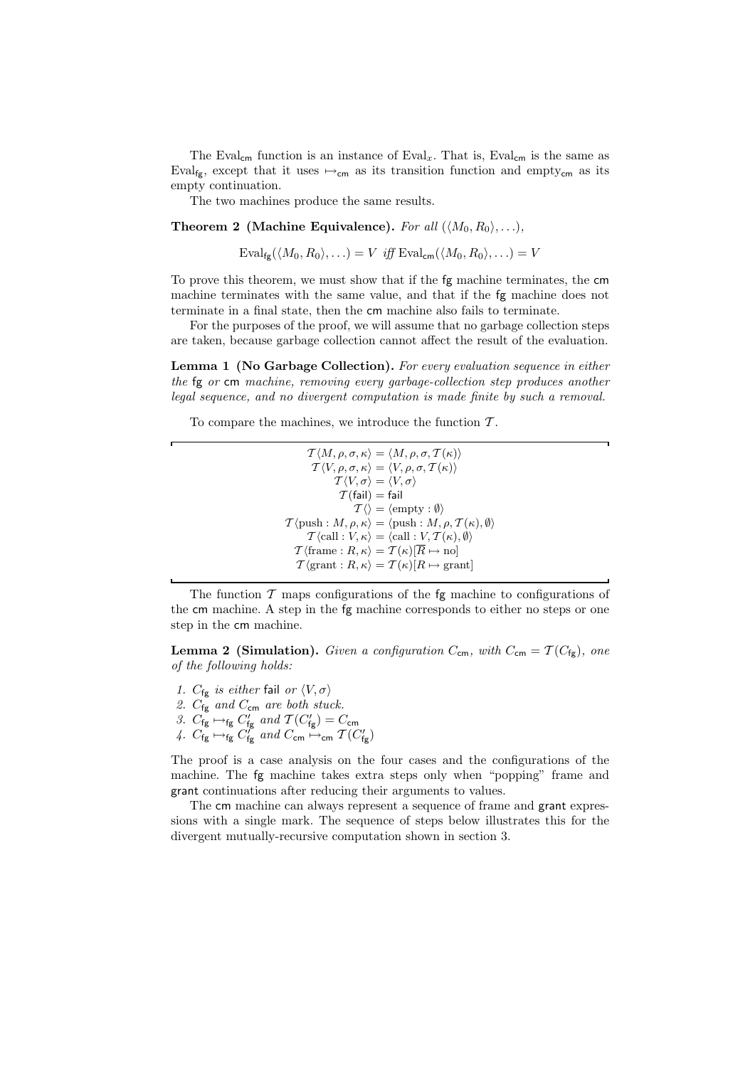The Eval<sub>cm</sub> function is an instance of Eval<sub>x</sub>. That is, Eval<sub>cm</sub> is the same as Eval<sub>fg</sub>, except that it uses  $\mapsto_{\mathsf{cm}}$  as its transition function and empty<sub>cm</sub> as its empty continuation.

The two machines produce the same results.

**Theorem 2 (Machine Equivalence).** For all  $(\langle M_0, R_0 \rangle, \ldots)$ ,

 $\text{Eval}_{\text{f}\sigma}(\langle M_0, R_0 \rangle, \ldots) = V$  iff  $\text{Eval}_{\text{cm}}(\langle M_0, R_0 \rangle, \ldots) = V$ 

To prove this theorem, we must show that if the fg machine terminates, the cm machine terminates with the same value, and that if the fg machine does not terminate in a final state, then the cm machine also fails to terminate.

For the purposes of the proof, we will assume that no garbage collection steps are taken, because garbage collection cannot affect the result of the evaluation.

Lemma 1 (No Garbage Collection). For every evaluation sequence in either the fg or cm machine, removing every garbage-collection step produces another legal sequence, and no divergent computation is made finite by such a removal.

To compare the machines, we introduce the function  $\mathcal{T}$ .

 $\mathcal{T} \langle M, \rho, \sigma, \kappa \rangle = \langle M, \rho, \sigma, \mathcal{T}(\kappa) \rangle$  $\langle T \langle V, \rho, \sigma, \kappa \rangle = \langle V, \rho, \sigma, T(\kappa) \rangle$  $\overline{\mathcal{T}}\langle V, \sigma\rangle = \langle V, \sigma\rangle$  $T$ (fail) = fail  $T \langle \rangle = \langle \text{empty} : \emptyset \rangle$  $\mathcal{T} \langle \text{push} : M, \rho, \kappa \rangle = \langle \text{push} : M, \rho, \mathcal{T}(\kappa), \emptyset \rangle$  $\mathcal{T}\langle \text{call} : V, \kappa \rangle = \langle \text{call} : V, \mathcal{T}(\kappa), \emptyset \rangle$  $\mathcal{T}$  (frame :  $R, \kappa$ ) =  $\mathcal{T}(\kappa)[\overline{R} \mapsto \text{no}]$  $\mathcal{T} \langle \text{grant} : R, \kappa \rangle = \mathcal{T}(\kappa) [R \mapsto \text{grant}]$ 

The function  $\mathcal T$  maps configurations of the fg machine to configurations of the cm machine. A step in the fg machine corresponds to either no steps or one step in the cm machine.

**Lemma 2 (Simulation).** Given a configuration  $C_{\text{cm}}$ , with  $C_{\text{cm}} = \mathcal{T}(C_{\text{fg}})$ , one of the following holds:

- 1.  $C_{fg}$  is either fail or  $\langle V, \sigma \rangle$
- 2.  $C_{fg}$  and  $C_{cm}$  are both stuck.
- 3.  $C_{fg} \mapsto_{fg} C'_{fg}$  and  $\mathcal{T}(C'_{fg}) = C_{cm}$
- 4.  $C_{fg} \mapsto_{fg} C'_{fg}$  and  $C_{cm} \mapsto_{cm} T(C'_{fg})$

The proof is a case analysis on the four cases and the configurations of the machine. The fg machine takes extra steps only when "popping" frame and grant continuations after reducing their arguments to values.

The cm machine can always represent a sequence of frame and grant expressions with a single mark. The sequence of steps below illustrates this for the divergent mutually-recursive computation shown in section 3.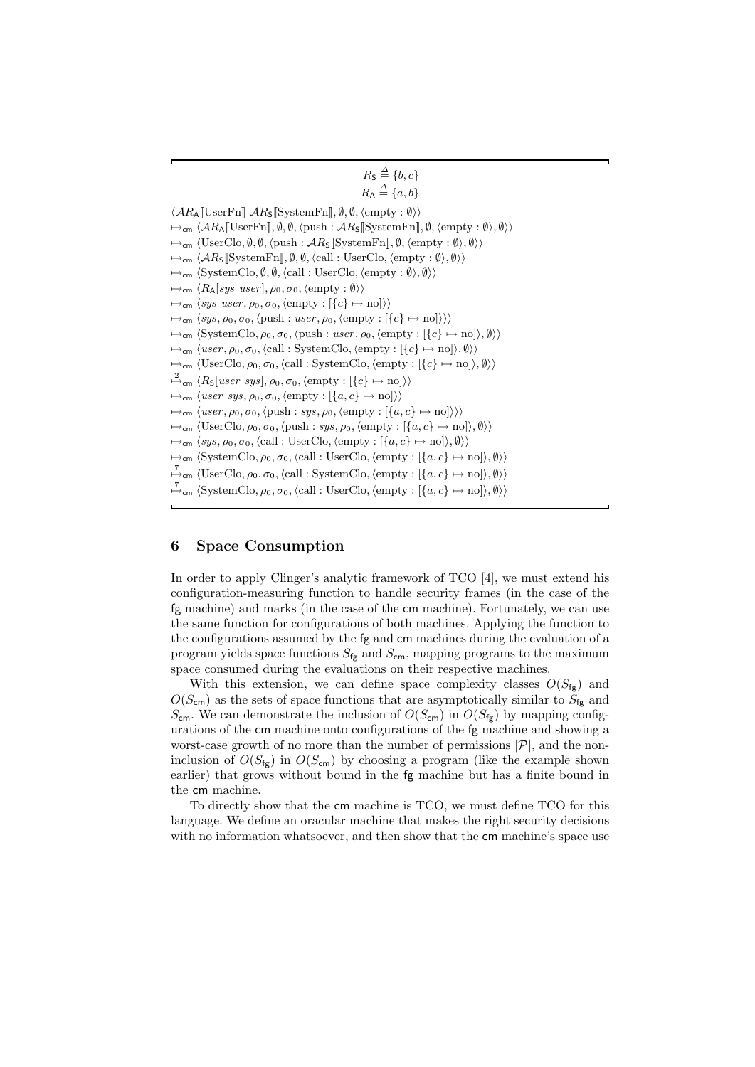```
R_{\mathsf{S}} \stackrel{\Delta}{=} \{b, c\}R_{\mathsf{A}} \stackrel{\Delta}{=} \{a, b\}\langle AR_A[[UserFn]] \, AR_S[[SystemFn]], \emptyset, \emptyset, \langle empty : \emptyset \rangle \rangle\rightarrow<sub>cm</sub> \langle AR_A[[UserFn]], \emptyset, \emptyset, \langle push : AR_S[[SystemFn]], \emptyset, \langle empty : \emptyset \rangle, \emptyset \rangle \rangle\mapsto<sub>cm</sub> \langleUserClo, Ø, Ø, \langlepush : AR<sub>S</sub>[[SystemFn]], Ø, \langleempty : Ø\rangle, Ø\rangle}
\mapsto_{\mathsf{cm}} \langle \mathcal{A} R_{\mathsf{S}}[\mathrm{SystemFn}], \emptyset, \emptyset, \langle \mathrm{call} : \mathrm{UserClo}, \langle \mathrm{empty} : \emptyset \rangle, \emptyset \rangle \rangle\mapsto_{\mathsf{cm}} \langle \mathsf{SystemClo}, \emptyset, \emptyset, \langle \mathsf{call} : \mathsf{UserClo}, \langle \mathsf{empty} : \emptyset \rangle, \emptyset \rangle \rangle\mapsto_{\mathsf{cm}} \langle R_{\mathsf{A}}[sys\; user], \rho_0, \sigma_0, \langle \text{empty : } \emptyset \rangle \rangle\mapsto_{\mathsf{cm}} \langle sys \; user, \rho_0, \sigma_0, \langle \text{empty} : [\{c\} \mapsto \text{no}]\rangle \rangle\mapsto_{\mathsf{cm}} \langle sys, \rho_0, \sigma_0, \langle \text{push} : user, \rho_0, \langle \text{empty} : [\{c\} \mapsto \text{no}]\rangle \rangle\rightarrow_{\mathsf{cm}} \langle SystemClo, \rho_0, \sigma_0, \langle push : user, \rho_0, \langle empty : [\{c\} \mapsto no]\rangle, \emptyset\rangle\rightarrow<sub>cm</sub> \langle user, \rho_0, \sigma_0, \langle call : SystemClo, \langle empty : [\{c\} \mapsto no \rangle], \emptyset \rangle \rangle\mapsto_{\mathsf{cm}} \langle \text{UserClo}, \rho_0, \sigma_0, \langle \text{call} : \text{SystemClo}, \langle \text{empty} : [\{c\} \mapsto \text{no}]\rangle, \emptyset \rangle \rangle\stackrel{2}{\mapsto}_{\mathsf{cm}} \langle R_{\mathsf{S}}[user\;sys], \rho_0, \sigma_0, \langle \text{empty} : [\{c\} \mapsto \text{no}]\rangle \rangle\mapsto_{\mathsf{cm}} \langle user\ sys, \rho_0, \sigma_0, \langle \text{empty} : [\{a, c\} \mapsto \text{no}]\rangle\rangle\rightarrow_{\mathsf{cm}} \langle user, \rho_0, \sigma_0, \langle \text{push} : sys, \rho_0, \langle \text{empty} : [\{a, c\} \mapsto \text{no}]\rangle \rangle\rightarrow<sub>cm</sub> \langleUserClo, \rho_0, \sigma_0, \langlepush : sys, \rho_0, \langleempty : [\{a, c\} \mapsto no]\rangle, \emptyset\rangle\mapsto_{\mathsf{cm}} \langle sys, \rho_0, \sigma_0, \langle \text{call} : \text{UserClo}, \langle \text{empty} : [\{a, c\} \mapsto \text{no}]\rangle, \emptyset \rangle \rangle\mapsto_{\mathsf{cm}} \langle \mathsf{System} \mathsf{Clo}, \rho_0, \sigma_0, \langle \mathsf{call} : \mathsf{User} \mathsf{Clo}, \langle \mathsf{empty} : [\{a, c\} \mapsto \mathsf{no}]\rangle, \emptyset \rangle \rangle\stackrel{7}{\mapsto}_{\mathsf{cm}} (UserClo, \rho_0, \sigma_0, (call : SystemClo, (empty : [{a, c} \mapsto no]), \emptyset))
\stackrel{7}{\mapsto}_{\mathsf{cm}} \langle \mathsf{SystemClo}, \rho_0, \sigma_0, \langle \mathsf{call} : \mathsf{UserClo}, \langle \mathsf{empty} : [\{a, c\} \mapsto \mathsf{no}]\rangle, \emptyset \rangle \rangle
```
# 6 Space Consumption

In order to apply Clinger's analytic framework of TCO [4], we must extend his configuration-measuring function to handle security frames (in the case of the fg machine) and marks (in the case of the cm machine). Fortunately, we can use the same function for configurations of both machines. Applying the function to the configurations assumed by the fg and cm machines during the evaluation of a program yields space functions  $S_{fg}$  and  $S_{cm}$ , mapping programs to the maximum space consumed during the evaluations on their respective machines.

With this extension, we can define space complexity classes  $O(S_{fg})$  and  $O(S_{\text{cm}})$  as the sets of space functions that are asymptotically similar to  $S_{\text{fg}}$  and  $S_{\text{cm}}$ . We can demonstrate the inclusion of  $O(S_{\text{cm}})$  in  $O(S_{\text{fg}})$  by mapping configurations of the cm machine onto configurations of the fg machine and showing a worst-case growth of no more than the number of permissions  $|\mathcal{P}|$ , and the noninclusion of  $O(S_{\text{fg}})$  in  $O(S_{\text{cm}})$  by choosing a program (like the example shown earlier) that grows without bound in the fg machine but has a finite bound in the cm machine.

To directly show that the cm machine is TCO, we must define TCO for this language. We define an oracular machine that makes the right security decisions with no information whatsoever, and then show that the cm machine's space use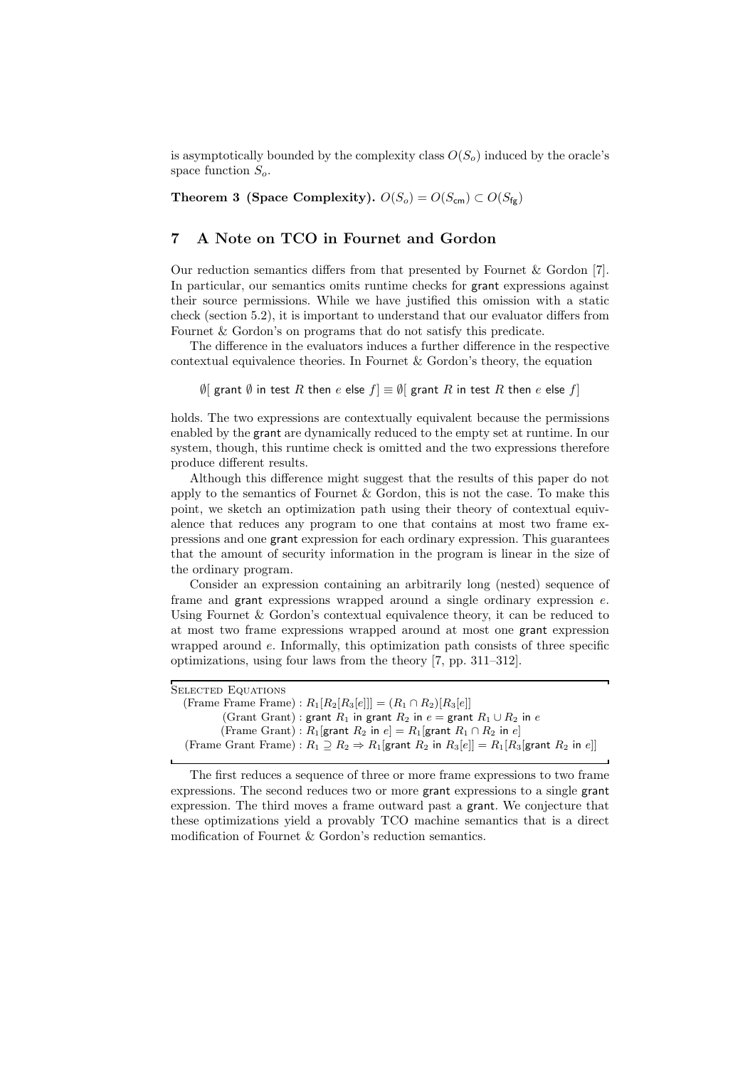is asymptotically bounded by the complexity class  $O(S_0)$  induced by the oracle's space function  $S_o$ .

Theorem 3 (Space Complexity).  $O(S_o) = O(S_{cm}) \subset O(S_{fg})$ 

# 7 A Note on TCO in Fournet and Gordon

Our reduction semantics differs from that presented by Fournet & Gordon [7]. In particular, our semantics omits runtime checks for grant expressions against their source permissions. While we have justified this omission with a static check (section 5.2), it is important to understand that our evaluator differs from Fournet & Gordon's on programs that do not satisfy this predicate.

The difference in the evaluators induces a further difference in the respective contextual equivalence theories. In Fournet & Gordon's theory, the equation

 $\emptyset$ [ grant  $\emptyset$  in test R then e else  $f$ ]  $\equiv \emptyset$ [ grant R in test R then e else  $f$ ]

holds. The two expressions are contextually equivalent because the permissions enabled by the grant are dynamically reduced to the empty set at runtime. In our system, though, this runtime check is omitted and the two expressions therefore produce different results.

Although this difference might suggest that the results of this paper do not apply to the semantics of Fournet  $\&$  Gordon, this is not the case. To make this point, we sketch an optimization path using their theory of contextual equivalence that reduces any program to one that contains at most two frame expressions and one grant expression for each ordinary expression. This guarantees that the amount of security information in the program is linear in the size of the ordinary program.

Consider an expression containing an arbitrarily long (nested) sequence of frame and grant expressions wrapped around a single ordinary expression e. Using Fournet & Gordon's contextual equivalence theory, it can be reduced to at most two frame expressions wrapped around at most one grant expression wrapped around e. Informally, this optimization path consists of three specific optimizations, using four laws from the theory [7, pp. 311–312].

| SELECTED EQUATIONS                                                                                              |
|-----------------------------------------------------------------------------------------------------------------|
| (Frame Frame): $R_1[R_2[R_3[e]]] = (R_1 \cap R_2)[R_3[e]]$                                                      |
| (Grant Grant): grant $R_1$ in grant $R_2$ in $e =$ grant $R_1 \cup R_2$ in $e$                                  |
| (Frame Grant): $R_1$ grant $R_2$ in $e$ = $R_1$ grant $R_1 \cap R_2$ in $e$                                     |
| (Frame Grant Frame): $R_1 \supseteq R_2 \Rightarrow R_1$ [grant $R_2$ in $R_3[e] = R_1[R_3]$ grant $R_2$ in e]] |
|                                                                                                                 |

The first reduces a sequence of three or more frame expressions to two frame expressions. The second reduces two or more grant expressions to a single grant expression. The third moves a frame outward past a grant. We conjecture that these optimizations yield a provably TCO machine semantics that is a direct modification of Fournet & Gordon's reduction semantics.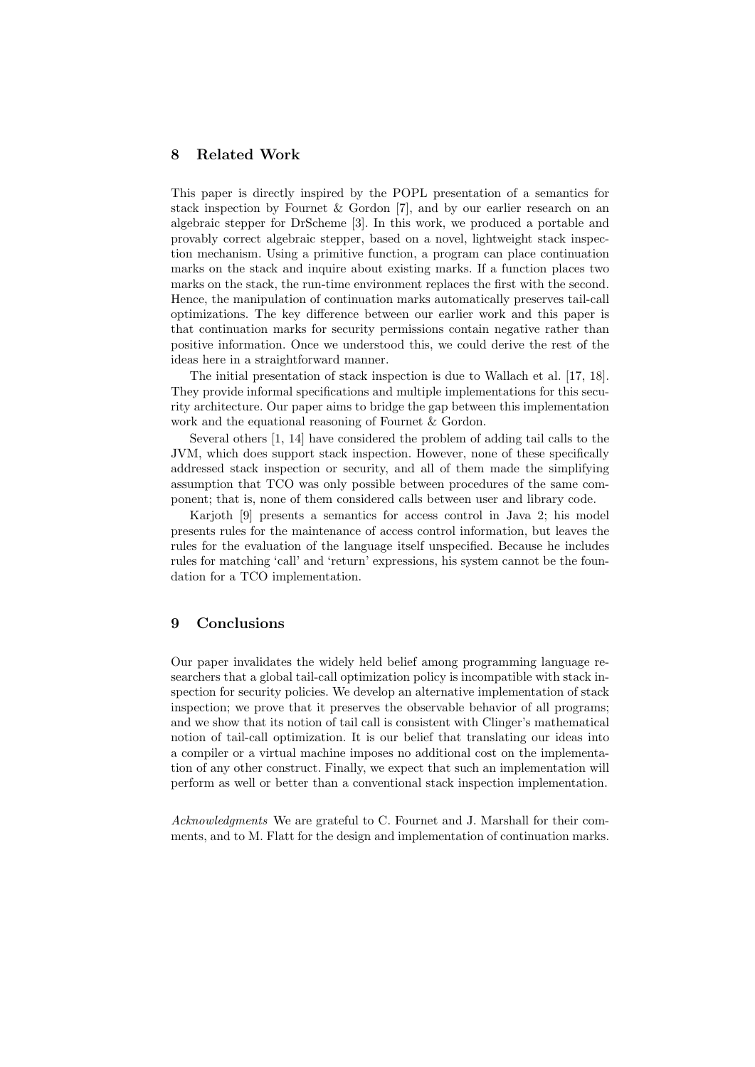# 8 Related Work

This paper is directly inspired by the POPL presentation of a semantics for stack inspection by Fournet & Gordon [7], and by our earlier research on an algebraic stepper for DrScheme [3]. In this work, we produced a portable and provably correct algebraic stepper, based on a novel, lightweight stack inspection mechanism. Using a primitive function, a program can place continuation marks on the stack and inquire about existing marks. If a function places two marks on the stack, the run-time environment replaces the first with the second. Hence, the manipulation of continuation marks automatically preserves tail-call optimizations. The key difference between our earlier work and this paper is that continuation marks for security permissions contain negative rather than positive information. Once we understood this, we could derive the rest of the ideas here in a straightforward manner.

The initial presentation of stack inspection is due to Wallach et al. [17, 18]. They provide informal specifications and multiple implementations for this security architecture. Our paper aims to bridge the gap between this implementation work and the equational reasoning of Fournet & Gordon.

Several others [1, 14] have considered the problem of adding tail calls to the JVM, which does support stack inspection. However, none of these specifically addressed stack inspection or security, and all of them made the simplifying assumption that TCO was only possible between procedures of the same component; that is, none of them considered calls between user and library code.

Karjoth [9] presents a semantics for access control in Java 2; his model presents rules for the maintenance of access control information, but leaves the rules for the evaluation of the language itself unspecified. Because he includes rules for matching 'call' and 'return' expressions, his system cannot be the foundation for a TCO implementation.

### 9 Conclusions

Our paper invalidates the widely held belief among programming language researchers that a global tail-call optimization policy is incompatible with stack inspection for security policies. We develop an alternative implementation of stack inspection; we prove that it preserves the observable behavior of all programs; and we show that its notion of tail call is consistent with Clinger's mathematical notion of tail-call optimization. It is our belief that translating our ideas into a compiler or a virtual machine imposes no additional cost on the implementation of any other construct. Finally, we expect that such an implementation will perform as well or better than a conventional stack inspection implementation.

Acknowledgments We are grateful to C. Fournet and J. Marshall for their comments, and to M. Flatt for the design and implementation of continuation marks.